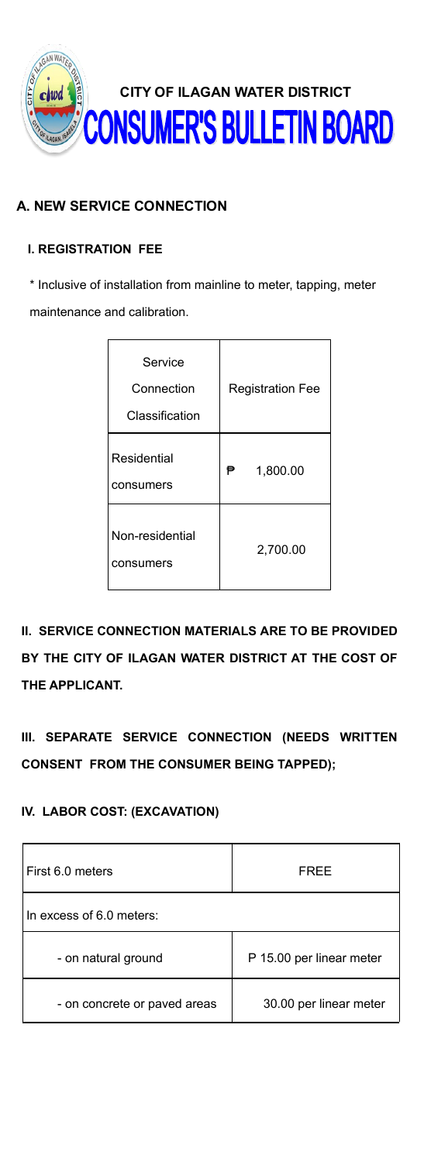

## **A. NEW SERVICE CONNECTION**

## **I. REGISTRATION FEE**

\* Inclusive of installation from mainline to meter, tapping, meter maintenance and calibration.

| Service<br>Connection<br>Classification | <b>Registration Fee</b> |  |
|-----------------------------------------|-------------------------|--|
| <b>Residential</b><br>consumers         | ₱<br>1,800.00           |  |
| Non-residential<br>consumers            | 2,700.00                |  |

**II. SERVICE CONNECTION MATERIALS ARE TO BE PROVIDED BY THE CITY OF ILAGAN WATER DISTRICT AT THE COST OF THE APPLICANT.**

**III. SEPARATE SERVICE CONNECTION (NEEDS WRITTEN CONSENT FROM THE CONSUMER BEING TAPPED);**

## **IV. LABOR COST: (EXCAVATION)**

| First 6.0 meters             | FREE                     |  |
|------------------------------|--------------------------|--|
| In excess of 6.0 meters:     |                          |  |
| - on natural ground          | P 15.00 per linear meter |  |
| - on concrete or paved areas | 30.00 per linear meter   |  |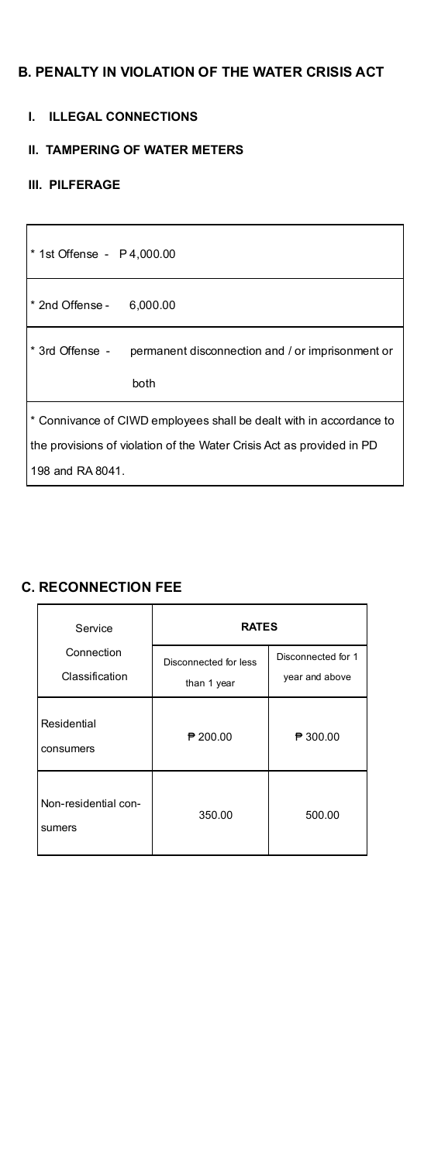## **B. PENALTY IN VIOLATION OF THE WATER CRISIS ACT**

#### **I. ILLEGAL CONNECTIONS**

#### **II. TAMPERING OF WATER METERS**

#### **III. PILFERAGE**

 $\mathbf{r}$ 

| * 1st Offense - P 4,000.00                                                                                                                                       |  |  |
|------------------------------------------------------------------------------------------------------------------------------------------------------------------|--|--|
| * 2nd Offense - 6,000.00                                                                                                                                         |  |  |
| * 3rd Offense - permanent disconnection and / or imprisonment or<br>both                                                                                         |  |  |
| * Connivance of CIWD employees shall be dealt with in accordance to<br>the provisions of violation of the Water Crisis Act as provided in PD<br>198 and RA 8041. |  |  |

٦

## **C. RECONNECTION FEE**

| Service                        | <b>RATES</b>                         |                                      |  |
|--------------------------------|--------------------------------------|--------------------------------------|--|
| Connection<br>Classification   | Disconnected for less<br>than 1 year | Disconnected for 1<br>year and above |  |
| Residential<br>consumers       | $P$ 200.00                           | ₱ 300.00                             |  |
| Non-residential con-<br>sumers | 350.00                               | 500.00                               |  |